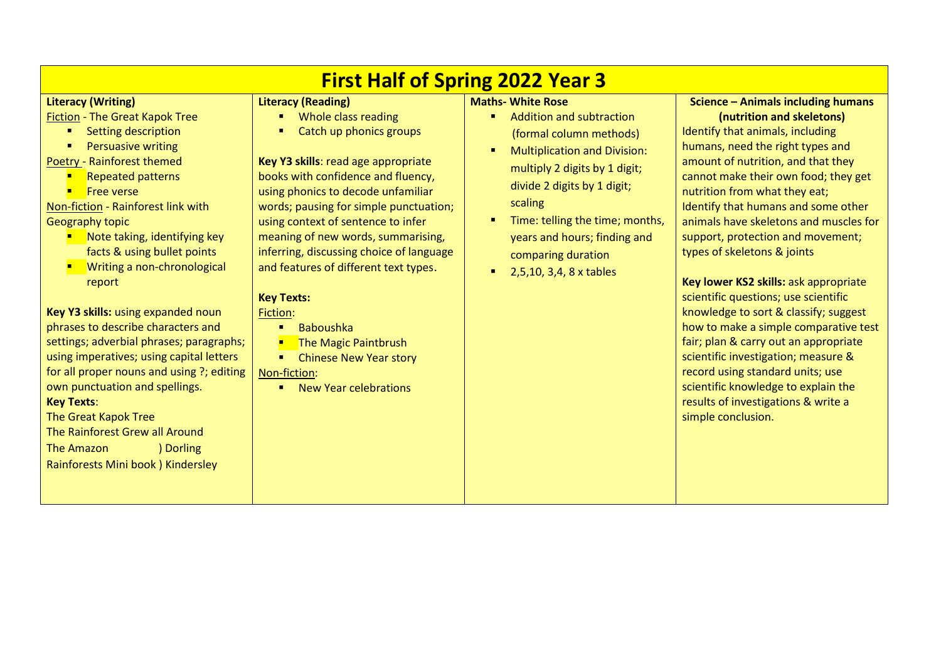| <b>First Half of Spring 2022 Year 3</b>                                                                                                                                                                                                                                                                                                                                                                                                                                                                                                                                                                                                                                                                                                                                                                |                                                                                                                                                                                                                                                                                                                                                                                                                                                                                                                                                                         |                                                                                                                                                                                                                                                                                                                                      |                                                                                                                                                                                                                                                                                                                                                                                                                                                                                                                                                                                                                                                                                                                                                                                                               |  |
|--------------------------------------------------------------------------------------------------------------------------------------------------------------------------------------------------------------------------------------------------------------------------------------------------------------------------------------------------------------------------------------------------------------------------------------------------------------------------------------------------------------------------------------------------------------------------------------------------------------------------------------------------------------------------------------------------------------------------------------------------------------------------------------------------------|-------------------------------------------------------------------------------------------------------------------------------------------------------------------------------------------------------------------------------------------------------------------------------------------------------------------------------------------------------------------------------------------------------------------------------------------------------------------------------------------------------------------------------------------------------------------------|--------------------------------------------------------------------------------------------------------------------------------------------------------------------------------------------------------------------------------------------------------------------------------------------------------------------------------------|---------------------------------------------------------------------------------------------------------------------------------------------------------------------------------------------------------------------------------------------------------------------------------------------------------------------------------------------------------------------------------------------------------------------------------------------------------------------------------------------------------------------------------------------------------------------------------------------------------------------------------------------------------------------------------------------------------------------------------------------------------------------------------------------------------------|--|
| <b>Literacy (Writing)</b><br><b>Fiction - The Great Kapok Tree</b><br>Setting description<br>п.<br><b>Persuasive writing</b><br>$\blacksquare$<br>Poetry - Rainforest themed<br><b>Repeated patterns</b><br>п<br><b>Free verse</b><br>Non-fiction - Rainforest link with<br>Geography topic<br>Note taking, identifying key<br>facts & using bullet points<br>Writing a non-chronological<br>report<br>Key Y3 skills: using expanded noun<br>phrases to describe characters and<br>settings; adverbial phrases; paragraphs;<br>using imperatives; using capital letters<br>for all proper nouns and using ?; editing<br>own punctuation and spellings.<br><b>Key Texts:</b><br>The Great Kapok Tree<br>The Rainforest Grew all Around<br>The Amazon<br>) Dorling<br>Rainforests Mini book ) Kindersley | <b>Literacy (Reading)</b><br>Whole class reading<br>Catch up phonics groups<br>Key Y3 skills: read age appropriate<br>books with confidence and fluency,<br>using phonics to decode unfamiliar<br>words; pausing for simple punctuation;<br>using context of sentence to infer<br>meaning of new words, summarising,<br>inferring, discussing choice of language<br>and features of different text types.<br><b>Key Texts:</b><br>Fiction:<br><b>Baboushka</b><br>The Magic Paintbrush<br><b>Chinese New Year story</b><br>Non-fiction:<br><b>New Year celebrations</b> | <b>Maths- White Rose</b><br>Addition and subtraction<br>(formal column methods)<br><b>Multiplication and Division:</b><br>п<br>multiply 2 digits by 1 digit;<br>divide 2 digits by 1 digit;<br>scaling<br>Time: telling the time; months,<br>п<br>years and hours; finding and<br>comparing duration<br>2,5,10, 3,4, 8 x tables<br>п | <b>Science - Animals including humans</b><br>(nutrition and skeletons)<br>Identify that animals, including<br>humans, need the right types and<br>amount of nutrition, and that they<br>cannot make their own food; they get<br>nutrition from what they eat;<br>Identify that humans and some other<br>animals have skeletons and muscles for<br>support, protection and movement;<br>types of skeletons & joints<br>Key lower KS2 skills: ask appropriate<br>scientific questions; use scientific<br>knowledge to sort & classify; suggest<br>how to make a simple comparative test<br>fair; plan & carry out an appropriate<br>scientific investigation; measure &<br>record using standard units; use<br>scientific knowledge to explain the<br>results of investigations & write a<br>simple conclusion. |  |